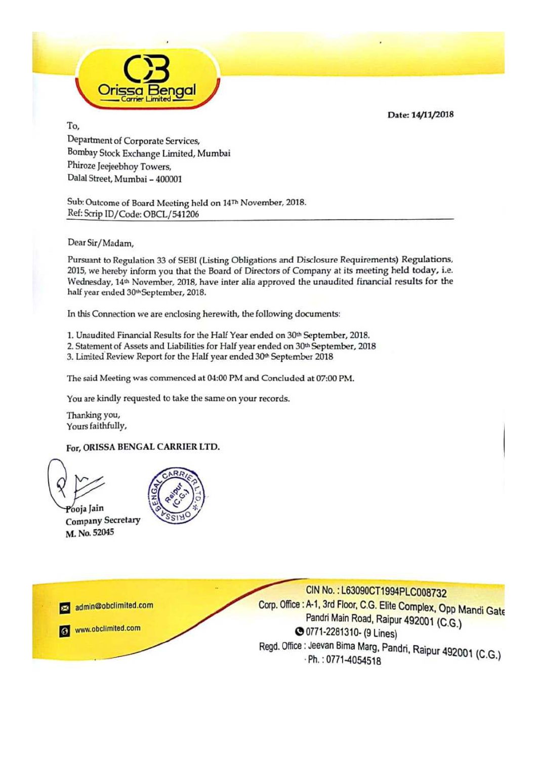Date: 14/11/2018



# To,

Department of Corporate Services, Bombay Stock Exchange Limited, Mumbai Phiroze Jeejeebhoy Towers, Dalal Street, Mumbai – 400001

Sub: Outcome of Board Meeting held on 14<sup>Th</sup> November, 2018. Ref: Scrip ID/Code: OBCL/541206

Dear Sir/Madam,

Pursuant to Regulation 33 of SEBI (Listing Obligations and Disclosure Requirements) Regulations, 2015, we hereby inform you that the Board of Directors of Company at its meeting held today, i.e. Wednesday, 14<sup>th</sup> November, 2018, have inter alia approved the unaudited financial results for the half year ended 30th September, 2018.

In this Connection we are enclosing herewith, the following documents:

1. Unaudited Financial Results for the Half Year ended on 30th September, 2018.

2. Statement of Assets and Liabilities for Half year ended on 30th September, 2018

3. Limited Review Report for the Hall year ended 30" September <sup>2018</sup>

The said Meeting was commenced at 04:00 PM and Concluded at 07:00 PM.

You are kindly requested to take the same on your records.

Thanking you, Yours faithfully,

For, ORISSA BENGAL CARRIER LTD.



⊠

Pooja Jain<br>Company Secretary M. No 52045

admin@obclimited.com

www.obclimited.com



CIN No.: L63090CT1994PLC008732<br>
. Office : A-1, 3rd Floor, C.G. Elite Complex, Opp Mandi Gate No.: L63090CT1994PLC008732 Pandri Main Road, Raipur 492001 (C.G.)<br>0771-2281310, (O.Lines) 00771-2281310- (9 Lines) Regd. Office : Jeevan Bima Marg, Pandri, Raipur 492001 (C.G.)<br>Ph. : 0771-4054518 · Ph.: 0771-4054518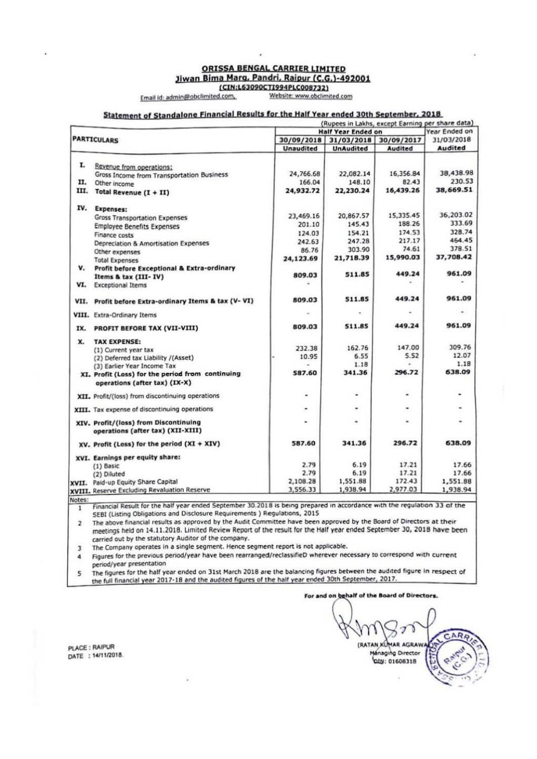#### ORISSA BENGAL CARRIER LIMITED Jiwan Bima Marg, Pandri, Raipur (C.G.)-492001 (CIN:L63090CTI994PLC008732)

Email id: admin@obclimited.com,

Website: www.obclimited.com

## Statement of Standalone Financial Results for the Half Year ended 30th September, 2018

|      |                                                  |                    |                  |                       | (Rupees in Lakhs, except Earning per share data) |
|------|--------------------------------------------------|--------------------|------------------|-----------------------|--------------------------------------------------|
|      |                                                  | Half Year Ended on |                  |                       | Year Ended on                                    |
|      | <b>PARTICULARS</b>                               | 30/09/2018         |                  | 31/03/2018 30/09/2017 | 31/03/2018                                       |
|      |                                                  | <b>Unaudited</b>   | <b>UnAudited</b> | Audited               | Audited                                          |
| I.   |                                                  |                    |                  |                       |                                                  |
|      | Revenue from operations:                         | 24,766.68          | 22,082.14        | 16,356.84             | 38,438.98                                        |
| п.   | Gross Income from Transportation Business        | 166.04             | 148.10           | 82.43                 | 230.53                                           |
|      | Other income                                     | 24,932.72          | 22,230.24        | 16,439.26             | 38,669.51                                        |
|      | III. Total Revenue (I + II)                      |                    |                  |                       |                                                  |
|      | IV. Expenses:                                    |                    |                  |                       |                                                  |
|      | <b>Gross Transportation Expenses</b>             | 23,469.16          | 20,867.57        | 15,335.45             | 36,203.02                                        |
|      | <b>Employee Benefits Expenses</b>                | 201.10             | 145.43           | 188.26                | 333.69                                           |
|      | Finance costs                                    | 124.03             | 154.21           | 174.53                | 328.74                                           |
|      | Depreciation & Amortisation Expenses             | 242.63             | 247.28           | 217.17                | 464.45                                           |
|      | Other expenses                                   | 86.76              | 303.90           | 74.61                 | 378.51                                           |
|      | <b>Total Expenses</b>                            | 24,123.69          | 21,718.39        | 15,990.03             | 37,708.42                                        |
| v.   | Profit before Exceptional & Extra-ordinary       |                    |                  |                       |                                                  |
|      | Items & tax (III-IV)                             | 809.03             | 511.85           | 449.24                | 961.09                                           |
| VI.  | <b>Exceptional Items</b>                         |                    |                  |                       |                                                  |
| VII. | Profit before Extra-ordinary Items & tax (V-VI)  | 809.03             | 511.85           | 449.24                | 961.09                                           |
|      | VIII. Extra-Ordinary Items                       |                    |                  |                       |                                                  |
| IX.  | PROFIT BEFORE TAX (VII-VIII)                     | 809.03             | 511.85           | 449.24                | 961.09                                           |
| x.   | <b>TAX EXPENSE:</b>                              |                    |                  |                       |                                                  |
|      | (1) Current year tax                             | 232.38             | 162.76           | 147.00                | 309.76                                           |
|      | (2) Deferred tax Liability /(Asset)              | 10.95              | 6.55             | 5.52                  | 12.07                                            |
|      | (3) Earlier Year Income Tax                      |                    | 1.18             |                       | 1.18                                             |
|      | XI. Profit (Loss) for the period from continuing | 587.60             | 341.36           | 296.72                | 638.09                                           |
|      | operations (after tax) (IX-X)                    |                    |                  |                       |                                                  |
|      | XII. Profit/(loss) from discontinuing operations | ٠                  |                  | ٠                     | ۰                                                |
|      | XIII. Tax expense of discontinuing operations    | ٠                  |                  | ۰                     |                                                  |
|      | XIV. Profit/(loss) from Discontinuing            |                    |                  | ٠                     |                                                  |
|      | operations (after tax) (XII-XIII)                |                    |                  |                       |                                                  |
|      | XV. Profit (Loss) for the period (XI + XIV)      | 587.60             | 341.36           | 296.72                | 638.09                                           |
|      | XVI. Earnings per equity share:                  |                    |                  |                       |                                                  |
|      | (1) Basic                                        | 2.79               | 6.19             | 17.21                 | 17.66                                            |
|      | (2) Diluted                                      | 2.79               | 6.19             | 17.21                 | 17.66                                            |
|      | XVII. Paid-up Equity Share Capital               | 2,108.28           | 1,551.88         | 172.43                | 1,551.88                                         |
|      | XVIII. Reserve Excluding Revaluation Reserve     | 3,556.33           | 1,938.94         | 2,977.03              | 1,938.94                                         |

Financial Result for the half year ended September 30.2018 is being prepared in accordance with the regulation 33 of the ī SEBI (Listing Obligations and Disclosure Requirements ) Regulations, 2015

The above financial results as approved by the Audit Committee have been approved by the Board of Directors at their  $\overline{2}$ meetings held on 14.11.2018. Limited Review Report of the result for the Half year ended September 30, 2018 have been carried out by the statutory Auditor of the company.

The Company operates in a single segment. Hence segment report is not applicable.  $\overline{3}$ 

Figures for the previous period/year have been rearranged/reclassifieD wherever necessary to correspond with current 4 period/year presentation

The figures for the half year ended on 31st March 2018 are the balancing figures between the audited figure in respect of 5 the full financial year 2017-18 and the audited figures of the half year ended 30th September, 2017.

For and on behalf of the Board of Directors.

R (RATAN KUMAR AGRAW Managing Director QIN: 01608318

PLACE: RAIPUR DATE : 14/11/2018.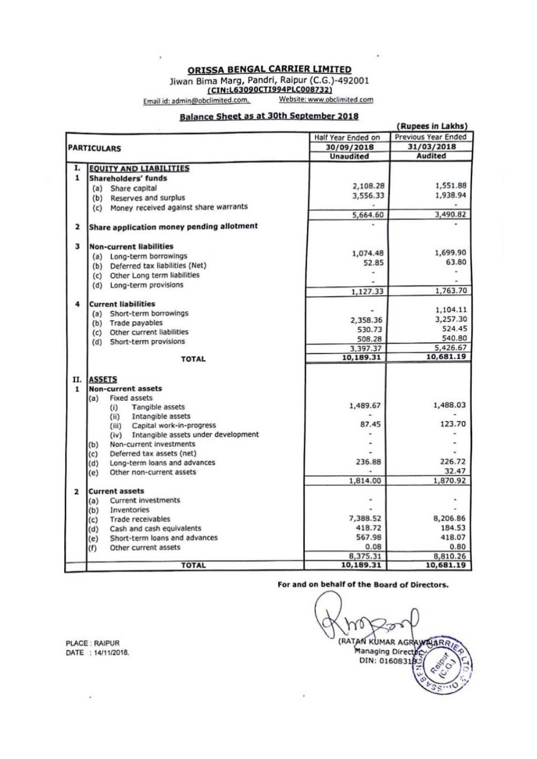ORISSA BENGAL CARRIER LIMITED

Jiwan Bima Marg, Pandri, Raipur (C.G.)-492001<br>
(CIN:L63090CTI994PLC008732)

Website: www.obclimited.com

Email id: admin@obclimited.com,

.

## **Balance Sheet as at 30th September 2018**

|                                                                       |                    | (Rupees in Lakhs)   |
|-----------------------------------------------------------------------|--------------------|---------------------|
|                                                                       | Half Year Ended on | Previous Year Ended |
| <b>PARTICULARS</b>                                                    | 30/09/2018         | 31/03/2018          |
|                                                                       | <b>Unaudited</b>   | <b>Audited</b>      |
| I.<br><b>EQUITY AND LIABILITIES</b>                                   |                    |                     |
| 1<br>Shareholders' funds                                              |                    |                     |
| Share capital<br>(a)                                                  | 2,108.28           | 1,551.88            |
| Reserves and surplus<br>(b)                                           | 3,556.33           | 1,938.94            |
| Money received against share warrants<br>(c)                          |                    |                     |
|                                                                       | 5,664.60           | 3,490.82            |
| Share application money pending allotment<br>2                        |                    |                     |
| 3<br><b>Non-current liabilities</b>                                   |                    |                     |
| Long-term borrowings<br>(a)                                           | 1,074.48           | 1,699.90            |
| Deferred tax liabilities (Net)<br>(b)                                 | 52.85              | 63.80               |
| Other Long term liabilities<br>(c)                                    |                    |                     |
| Long-term provisions<br>(d)                                           |                    |                     |
|                                                                       | 1,127.33           | 1,763.70            |
| 4<br><b>Current liabilities</b>                                       |                    |                     |
| Short-term borrowings<br>(a)                                          |                    | 1,104.11            |
| (b) Trade payables                                                    | 2,358.36           | 3,257.30            |
| Other current liabilities<br>(c)                                      | 530.73             | 524.45              |
| Short-term provisions<br>(d)                                          | 508.28             | 540.80              |
|                                                                       | 3,397.37           | 5,426.67            |
| <b>TOTAL</b>                                                          | 10,189.31          | 10,681.19           |
| Π.<br><b>ASSETS</b>                                                   |                    |                     |
| $\mathbf{1}$<br><b>Non-current assets</b>                             |                    |                     |
| Fixed assets<br>(a)                                                   |                    |                     |
| Tangible assets<br>(i)                                                | 1,489.67           | 1,488.03            |
| Intangible assets<br>(ii)                                             |                    |                     |
| Capital work-in-progress<br>(iii)                                     | 87.45              | 123.70              |
| Intangible assets under development<br>(iv)                           |                    |                     |
| Non-current investments<br>(b)                                        |                    |                     |
| Deferred tax assets (net)<br>(c)                                      |                    | 226.72              |
| (d)<br>Long-term loans and advances                                   | 236.88             |                     |
| Other non-current assets<br>(e)                                       | 1,814.00           | 32.47               |
|                                                                       |                    | 1,870.92            |
| $\overline{2}$<br><b>Current assets</b><br><b>Current investments</b> |                    |                     |
| (a)<br>Inventories                                                    |                    |                     |
| (b)<br>Trade receivables                                              | 7,388.52           | 8,206.86            |
| (c)<br>Cash and cash equivalents                                      | 418.72             | 184.53              |
| (d)<br>Short-term loans and advances                                  | 567.98             | 418.07              |
| (e)<br>(f)<br>Other current assets                                    | 0.08               | 0.80                |
|                                                                       | 8,375.31           | 8,810.26            |
| <b>TOTAL</b>                                                          | 10,189.31          | 10,681.19           |

For and on behalf of the Board of Directors.

(RATAN KUMAR AGRAWALAR DIN: 01608318

PLACE : RAIPUR DATE : 14/11/2018.